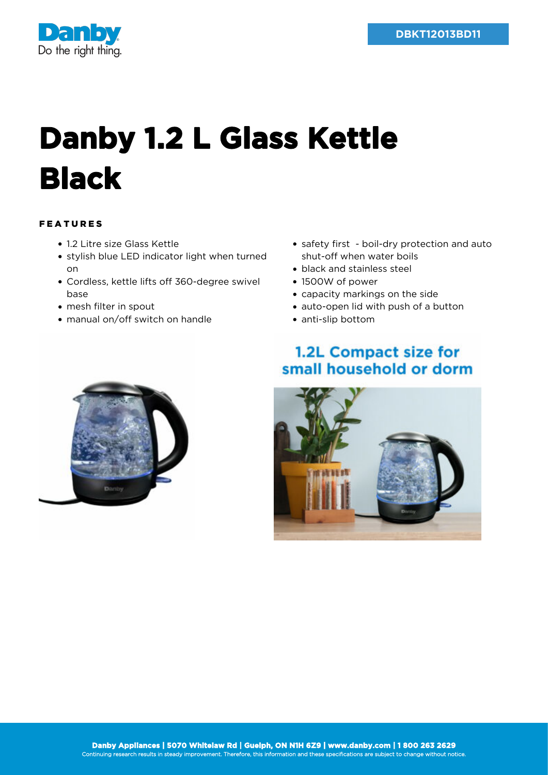

# **Danby 1.2 L Glass Kettle Black**

## FEATURES

- 1.2 Litre size Glass Kettle
- stylish blue LED indicator light when turned on
- Cordless, kettle lifts off 360-degree swivel base
- mesh filter in spout
- manual on/off switch on handle
- safety first boil-dry protection and auto shut-off when water boils
- black and stainless steel
- 1500W of power
- capacity markings on the side
- auto-open lid with push of a button
- anti-slip bottom

## 1.2L Compact size for small household or dorm